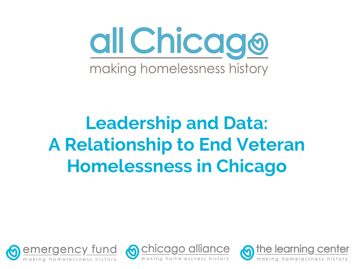

# **Leadership and Data: A Relationship to End Veteran Homelessness in Chicago**





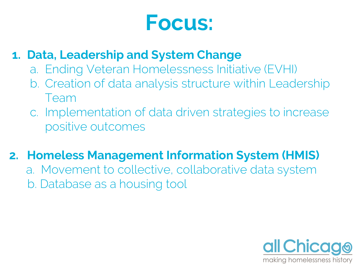

#### **1. Data, Leadership and System Change**

- a. Ending Veteran Homelessness Initiative (EVHI)
- b. Creation of data analysis structure within Leadership Team
- c. Implementation of data driven strategies to increase positive outcomes

### **2. Homeless Management Information System (HMIS)** a. Movement to collective, collaborative data system

b. Database as a housing tool

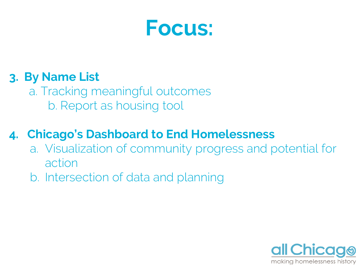

#### **3. By Name List**

a. Tracking meaningful outcomes b. Report as housing tool

#### **4. Chicago's Dashboard to End Homelessness**

- a. Visualization of community progress and potential for action
- b. Intersection of data and planning

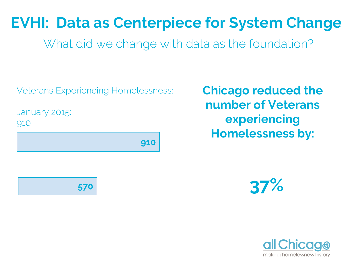## **EVHI: Data as Centerpiece for System Change**

What did we change with data as the foundation?

Veterans Experiencing Homelessness:

January 2015: 910

September 2017: 570 **910**

**Chicago reduced the number of Veterans experiencing Homelessness by:**

**570**

**37%**

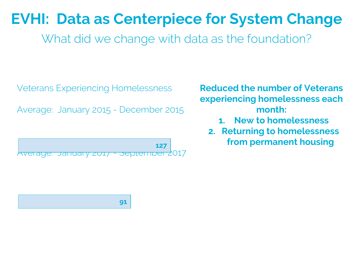### **EVHI: Data as Centerpiece for System Change**

What did we change with data as the foundation?

Veterans Experiencing Homelessness

Average: January 2015 - December 2015

Average: January 2017 - September 2017 **127**

**Reduced the number of Veterans experiencing homelessness each month:**

- **1. New to homelessness**
- **2. Returning to homelessness from permanent housing**

**91**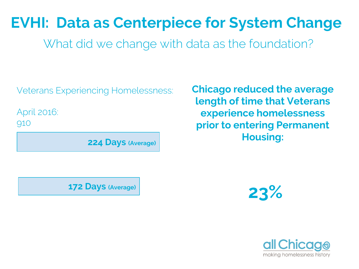## **EVHI: Data as Centerpiece for System Change**

What did we change with data as the foundation?

Veterans Experiencing Homelessness:

April 2016:

910

**224 Days (Average)** 

**Chicago reduced the average length of time that Veterans experience homelessness prior to entering Permanent Housing:**

**172 Days (Average)**

**23%**

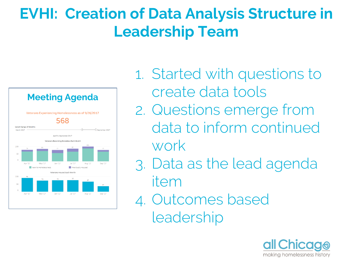## **EVHI: Creation of Data Analysis Structure in Leadership Team**



1. Started with questions to create data tools 2. Questions emerge from data to inform continued work

- 3. Data as the lead agenda item
- 4. Outcomes based leadership

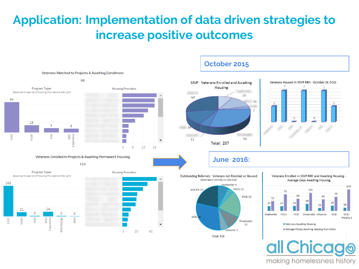#### **Application: Implementation of data driven strategies to increase positive outcomes**



making homelessness history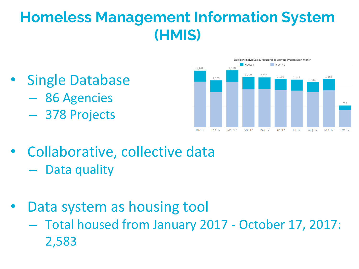## **Homeless Management Information System (HMIS)**

- Single Database
	- 86 Agencies
	- 378 Projects



- Collaborative, collective data – Data quality
- Data system as housing tool
	- Total housed from January 2017 October 17, 2017: 2,583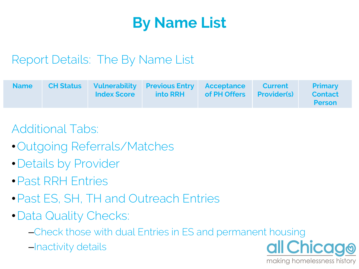## **By Name List**

#### Report Details: The By Name List

| <b>Name</b> |  | <b>Index Score</b> | <b>CH Status Vulnerability Previous Entry Acceptance Current</b><br>into RRH | of PH Offers Provider(s) |  | <b>Primary</b><br><b>Contact</b><br><b>Person</b> |
|-------------|--|--------------------|------------------------------------------------------------------------------|--------------------------|--|---------------------------------------------------|
|-------------|--|--------------------|------------------------------------------------------------------------------|--------------------------|--|---------------------------------------------------|

#### Additional Tabs:

- •Outgoing Referrals/Matches
- •Details by Provider
- •Past RRH Entries
- •Past ES, SH, TH and Outreach Entries
- •Data Quality Checks:
	- –Check those with dual Entries in ES and permanent housing
	- –Inactivity details

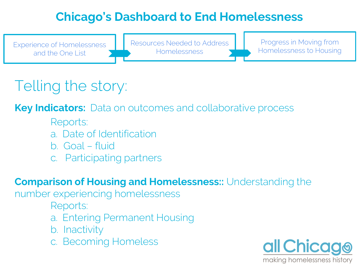#### **Chicago's Dashboard to End Homelessness**

Experience of Homelessness and the One List

Resources Needed to Address Homelessness

Progress in Moving from Homelessness to Housing

## Telling the story:

**Key Indicators:** Data on outcomes and collaborative process

- Reports:
- a. Date of Identification
- b. Goal fluid
- c. Participating partners

#### **Comparison of Housing and Homelessness::** Understanding the

number experiencing homelessness

- Reports:
- a. Entering Permanent Housing
- b. Inactivity
- c. Becoming Homeless

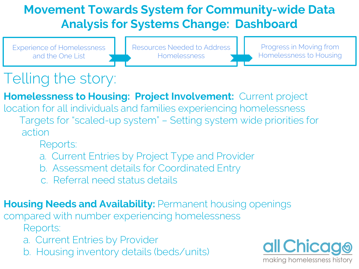#### **Movement Towards System for Community-wide Data Analysis for Systems Change: Dashboard**

Experience of Homelessness and the One List

Resources Needed to Address Homelessness

Progress in Moving from Homelessness to Housing

## Telling the story:

**Homelessness to Housing: Project Involvement:** Current project

location for all individuals and families experiencing homelessness Targets for "scaled-up system" – Setting system wide priorities for action

Reports:

- a. Current Entries by Project Type and Provider
- b. Assessment details for Coordinated Entry
- c. Referral need status details

#### **Housing Needs and Availability:** Permanent housing openings

compared with number experiencing homelessness

Reports:

- a. Current Entries by Provider
- b. Housing inventory details (beds/units)

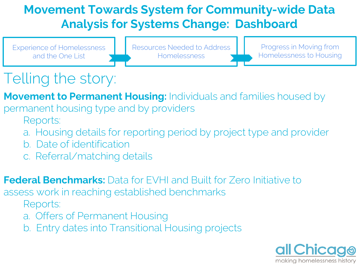#### **Movement Towards System for Community-wide Data Analysis for Systems Change: Dashboard**

Experience of Homelessness and the One List

Resources Needed to Address Homelessness

Progress in Moving from Homelessness to Housing

## Telling the story:

**Movement to Permanent Housing:** Individuals and families housed by permanent housing type and by providers

Reports:

- a. Housing details for reporting period by project type and provider
- b. Date of identification
- c. Referral/matching details

**Federal Benchmarks:** Data for FVHI and Built for Zero Initiative to

assess work in reaching established benchmarks

Reports:

- a. Offers of Permanent Housing
- b. Entry dates into Transitional Housing projects

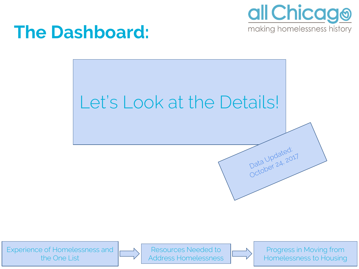

## **The Dashboard:**



Experience of Homelessness and the One List

Resources Needed to Address Homelessness

Progress in Moving from Homelessness to Housing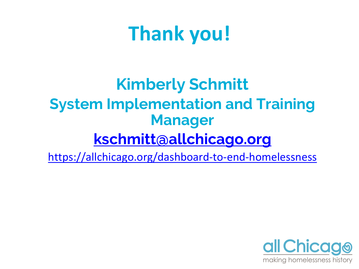# **Thank you!**

## **Kimberly Schmitt System Implementation and Training Manager [kschmitt@allchicago.org](mailto:kschmitt@allchicago.org)**

<https://allchicago.org/dashboard-to-end-homelessness>

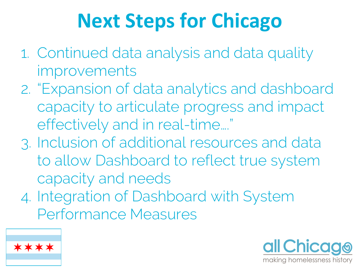# **Next Steps for Chicago**

- 1. Continued data analysis and data quality improvements
- 2. "Expansion of data analytics and dashboard capacity to articulate progress and impact effectively and in real-time…."
- 3. Inclusion of additional resources and data to allow Dashboard to reflect true system capacity and needs
- 4. Integration of Dashboard with System Performance Measures



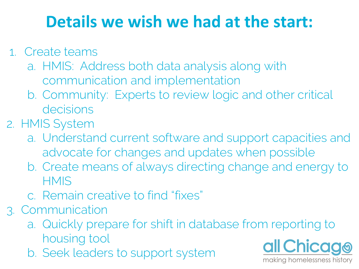## **Details we wish we had at the start:**

#### 1. Create teams

- a. HMIS: Address both data analysis along with communication and implementation
- b. Community: Experts to review logic and other critical decisions

### 2. HMIS System

- a. Understand current software and support capacities and advocate for changes and updates when possible
- b. Create means of always directing change and energy to **HMIS**
- c. Remain creative to find "fixes"
- 3. Communication
	- a. Quickly prepare for shift in database from reporting to housing tool
	- b. Seek leaders to support system

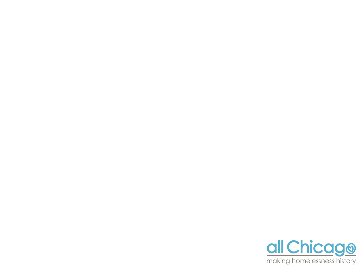